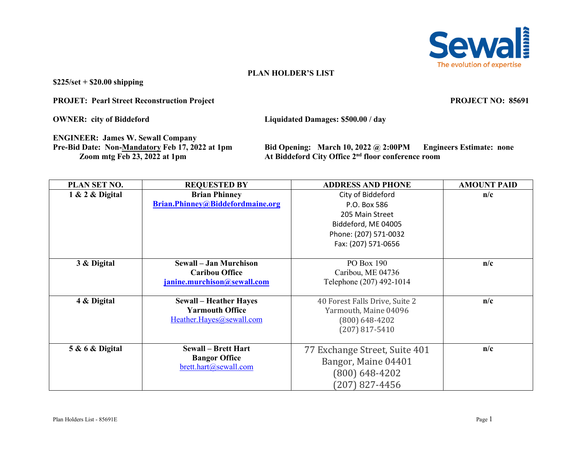

## **PLAN HOLDER'S LIST**

**\$225/set + \$20.00 shipping**

**PROJET: Pearl Street Reconstruction Project PROJECT NO: 85691**

**OWNER: city of Biddeford Liquidated Damages: \$500.00 / day**

**ENGINEER: James W. Sewall Company**

**Pre-Bid Date: Non-<u>Mandatory</u> Feb 17, 2022 at 1pm<br>
Zoom mtg Feb 23, 2022 at 1pm At Biddeford City Office 2<sup>nd</sup> floor conference room** At Biddeford City Office 2<sup>nd</sup> floor conference room

| PLAN SET NO.                   | <b>REQUESTED BY</b>              | <b>ADDRESS AND PHONE</b>       | <b>AMOUNT PAID</b> |
|--------------------------------|----------------------------------|--------------------------------|--------------------|
| 1 & 2 & Digital                | <b>Brian Phinney</b>             | City of Biddeford              | n/c                |
|                                | Brian.Phinney@Biddefordmaine.org | P.O. Box 586                   |                    |
|                                |                                  | 205 Main Street                |                    |
|                                |                                  | Biddeford, ME 04005            |                    |
|                                |                                  | Phone: (207) 571-0032          |                    |
|                                |                                  | Fax: (207) 571-0656            |                    |
|                                |                                  |                                |                    |
| 3 & Digital                    | <b>Sewall – Jan Murchison</b>    | PO Box 190                     | n/c                |
|                                | <b>Caribou Office</b>            | Caribou, ME 04736              |                    |
|                                | janine.murchison@sewall.com      | Telephone (207) 492-1014       |                    |
|                                |                                  |                                |                    |
| 4 & Digital                    | <b>Sewall - Heather Hayes</b>    | 40 Forest Falls Drive, Suite 2 | n/c                |
|                                | <b>Yarmouth Office</b>           | Yarmouth, Maine 04096          |                    |
|                                | Heather.Hayes@sewall.com         | $(800)$ 648-4202               |                    |
|                                |                                  | $(207)$ 817-5410               |                    |
|                                |                                  |                                |                    |
| <b>5 &amp; 6 &amp; Digital</b> | <b>Sewall – Brett Hart</b>       | 77 Exchange Street, Suite 401  | n/c                |
|                                | <b>Bangor Office</b>             | Bangor, Maine 04401            |                    |
|                                | brett.hart@sewall.com            | $(800) 648 - 4202$             |                    |
|                                |                                  | $(207)$ 827-4456               |                    |
|                                |                                  |                                |                    |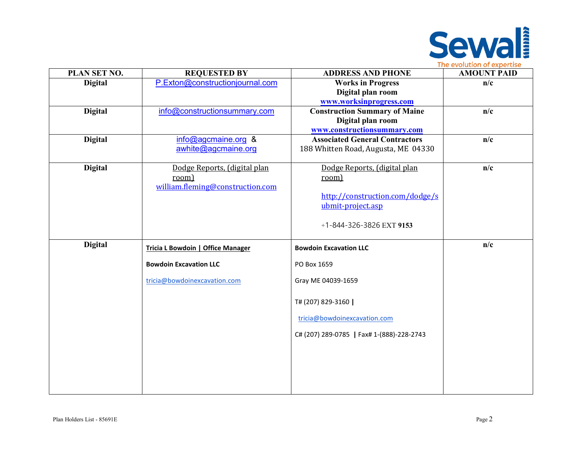

| PLAN SET NO.   | <b>REQUESTED BY</b>                      | <b>ADDRESS AND PHONE</b>                  | <b>AMOUNT PAID</b> |
|----------------|------------------------------------------|-------------------------------------------|--------------------|
| <b>Digital</b> | P.Exton@constructionjournal.com          | <b>Works in Progress</b>                  | n/c                |
|                |                                          | Digital plan room                         |                    |
|                |                                          | www.worksinprogress.com                   |                    |
| <b>Digital</b> | info@constructionsummary.com             | <b>Construction Summary of Maine</b>      | n/c                |
|                |                                          | Digital plan room                         |                    |
|                |                                          | www.constructionsummary.com               |                    |
| <b>Digital</b> | info@agcmaine.org &                      | <b>Associated General Contractors</b>     | n/c                |
|                | awhite@agcmaine.org                      | 188 Whitten Road, Augusta, ME 04330       |                    |
|                |                                          |                                           |                    |
| <b>Digital</b> | Dodge Reports, (digital plan             | Dodge Reports, (digital plan              | n/c                |
|                | room)                                    | room)                                     |                    |
|                | william.fleming@construction.com         | http://construction.com/dodge/s           |                    |
|                |                                          | ubmit-project.asp                         |                    |
|                |                                          |                                           |                    |
|                |                                          | +1-844-326-3826 EXT 9153                  |                    |
|                |                                          |                                           |                    |
| <b>Digital</b> |                                          | <b>Bowdoin Excavation LLC</b>             | n/c                |
|                | <b>Tricia L Bowdoin   Office Manager</b> |                                           |                    |
|                | <b>Bowdoin Excavation LLC</b>            | PO Box 1659                               |                    |
|                | tricia@bowdoinexcavation.com             | Gray ME 04039-1659                        |                    |
|                |                                          |                                           |                    |
|                |                                          | T# (207) 829-3160                         |                    |
|                |                                          | tricia@bowdoinexcavation.com              |                    |
|                |                                          | C# (207) 289-0785   Fax# 1-(888)-228-2743 |                    |
|                |                                          |                                           |                    |
|                |                                          |                                           |                    |
|                |                                          |                                           |                    |
|                |                                          |                                           |                    |
|                |                                          |                                           |                    |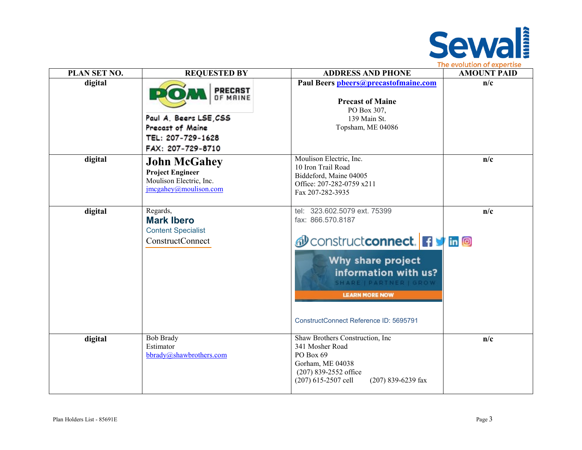

| PLAN SET NO. | <b>REQUESTED BY</b>                                                                                                | <b>ADDRESS AND PHONE</b>                                                                                                                                                                                                                                     | <b>AMOUNT PAID</b> |
|--------------|--------------------------------------------------------------------------------------------------------------------|--------------------------------------------------------------------------------------------------------------------------------------------------------------------------------------------------------------------------------------------------------------|--------------------|
| digital      | <b>PRECAST</b><br>OF MAINE<br>Paul A. Beers LSE, CSS<br>Precast of Maine<br>TEL: 207-729-1628<br>FAX: 207-729-8710 | Paul Beers pheers@precastofmaine.com<br><b>Precast of Maine</b><br>PO Box 307,<br>139 Main St.<br>Topsham, ME 04086                                                                                                                                          | n/c                |
| digital      | <b>John McGahey</b><br><b>Project Engineer</b><br>Moulison Electric, Inc.<br>$\text{image}$ ahey@moulison.com      | Moulison Electric, Inc.<br>10 Iron Trail Road<br>Biddeford, Maine 04005<br>Office: 207-282-0759 x211<br>Fax 207-282-3935                                                                                                                                     | n/c                |
| digital      | Regards,<br><b>Mark Ibero</b><br><b>Content Specialist</b><br>ConstructConnect                                     | tel: 323.602.5079 ext. 75399<br>fax: 866.570.8187<br><b><i><u></u></i></b> construct connect. <b>1</b> Th <b>a</b><br>Why share project<br>information with us?<br>SHARE   PARTNER   GROW<br><b>LEARN MORE NOW</b><br>ConstructConnect Reference ID: 5695791 | n/c                |
| digital      | <b>Bob Brady</b><br>Estimator<br>bbrady@shawbrothers.com                                                           | Shaw Brothers Construction, Inc<br>341 Mosher Road<br>PO Box 69<br>Gorham, ME 04038<br>$(207)$ 839-2552 office<br>$(207)$ 615-2507 cell<br>$(207)$ 839-6239 fax                                                                                              | n/c                |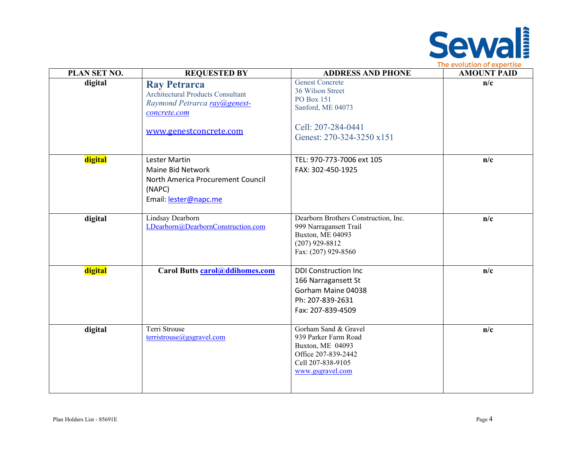

| PLAN SET NO. | <b>REQUESTED BY</b>                                                                                                                       | <b>ADDRESS AND PHONE</b>                                                                                                                | <b>AMOUNT PAID</b> |
|--------------|-------------------------------------------------------------------------------------------------------------------------------------------|-----------------------------------------------------------------------------------------------------------------------------------------|--------------------|
| digital      | <b>Ray Petrarca</b><br><b>Architectural Products Consultant</b><br>Raymond Petrarca ray@genest-<br>concrete.com<br>www.genestconcrete.com | <b>Genest Concrete</b><br>36 Wilson Street<br><b>PO Box 151</b><br>Sanford, ME 04073<br>Cell: 207-284-0441<br>Genest: 270-324-3250 x151 | n/c                |
| digital      | <b>Lester Martin</b><br>Maine Bid Network<br>North America Procurement Council<br>(NAPC)<br>Email: lester@napc.me                         | TEL: 970-773-7006 ext 105<br>FAX: 302-450-1925                                                                                          | n/c                |
| digital      | <b>Lindsay Dearborn</b><br>LDearborn@DearbornConstruction.com                                                                             | Dearborn Brothers Construction, Inc.<br>999 Narragansett Trail<br>Buxton, ME 04093<br>$(207)$ 929-8812<br>Fax: (207) 929-8560           | n/c                |
| digital      | Carol Butts carol@ddihomes.com                                                                                                            | <b>DDI Construction Inc</b><br>166 Narragansett St<br>Gorham Maine 04038<br>Ph: 207-839-2631<br>Fax: 207-839-4509                       | n/c                |
| digital      | Terri Strouse<br>terristrouse@gsgravel.com                                                                                                | Gorham Sand & Gravel<br>939 Parker Farm Road<br>Buxton, ME 04093<br>Office 207-839-2442<br>Cell 207-838-9105<br>www.gsgravel.com        | n/c                |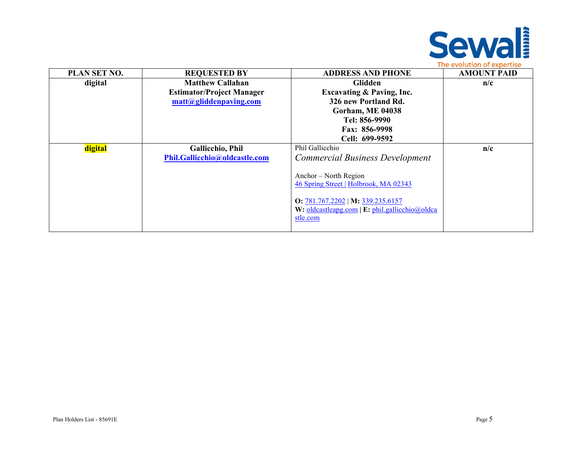

| PLAN SET NO. | <b>REQUESTED BY</b>              | <b>ADDRESS AND PHONE</b>                                                                        | <b>AMOUNT PAID</b> |
|--------------|----------------------------------|-------------------------------------------------------------------------------------------------|--------------------|
| digital      | <b>Matthew Callahan</b>          | Glidden                                                                                         | n/c                |
|              | <b>Estimator/Project Manager</b> | <b>Excavating &amp; Paving, Inc.</b>                                                            |                    |
|              | matt@gliddenpaving.com           | 326 new Portland Rd.                                                                            |                    |
|              |                                  | <b>Gorham, ME 04038</b>                                                                         |                    |
|              |                                  | Tel: 856-9990                                                                                   |                    |
|              |                                  | Fax: 856-9998                                                                                   |                    |
|              |                                  | Cell: 699-9592                                                                                  |                    |
| digital      | <b>Gallicchio</b> , Phil         | Phil Gallicchio                                                                                 | n/c                |
|              | Phil.Gallicchio@oldcastle.com    | Commercial Business Development                                                                 |                    |
|              |                                  |                                                                                                 |                    |
|              |                                  | Anchor – North Region                                                                           |                    |
|              |                                  | 46 Spring Street   Holbrook, MA 02343                                                           |                    |
|              |                                  |                                                                                                 |                    |
|              |                                  |                                                                                                 |                    |
|              |                                  |                                                                                                 |                    |
|              |                                  |                                                                                                 |                    |
|              |                                  | O: 781.767.2202   M: 339.235.6157<br>W: oldcastleapg.com   E: phil.gallicchio@oldca<br>stle.com |                    |